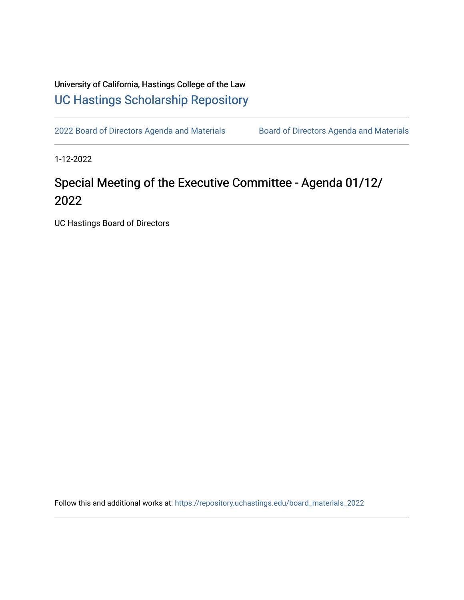# University of California, Hastings College of the Law [UC Hastings Scholarship Repository](https://repository.uchastings.edu/)

[2022 Board of Directors Agenda and Materials](https://repository.uchastings.edu/board_materials_2022) Board of Directors Agenda and Materials

1-12-2022

# Special Meeting of the Executive Committee - Agenda 01/12/ 2022

UC Hastings Board of Directors

Follow this and additional works at: [https://repository.uchastings.edu/board\\_materials\\_2022](https://repository.uchastings.edu/board_materials_2022?utm_source=repository.uchastings.edu%2Fboard_materials_2022%2F3&utm_medium=PDF&utm_campaign=PDFCoverPages)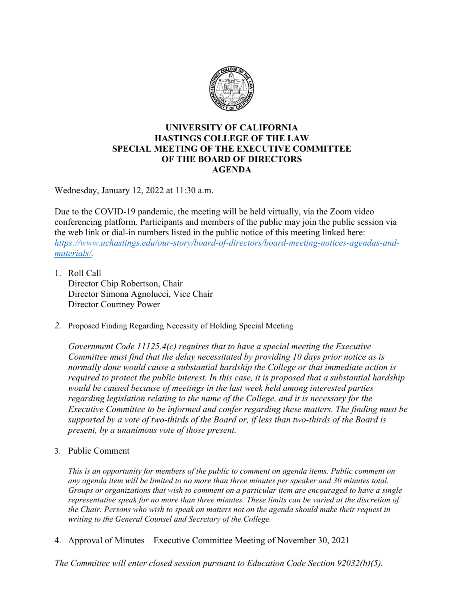

#### **UNIVERSITY OF CALIFORNIA HASTINGS COLLEGE OF THE LAW SPECIAL MEETING OF THE EXECUTIVE COMMITTEE OF THE BOARD OF DIRECTORS AGENDA**

Wednesday, January 12, 2022 at 11:30 a.m.

Due to the COVID-19 pandemic, the meeting will be held virtually, via the Zoom video conferencing platform. Participants and members of the public may join the public session via the web link or dial-in numbers listed in the public notice of this meeting linked here: *[https://www.uchastings.edu/our-story/board-of-directors/board-meeting-notices-agendas-and](https://www.uchastings.edu/our-story/board-of-directors/board-meeting-notices-agendas-and-materials/)[materials/.](https://www.uchastings.edu/our-story/board-of-directors/board-meeting-notices-agendas-and-materials/)* 

- 1. Roll Call Director Chip Robertson, Chair Director Simona Agnolucci, Vice Chair Director Courtney Power
- *2.* Proposed Finding Regarding Necessity of Holding Special Meeting

*Government Code 11125.4(c) requires that to have a special meeting the Executive Committee must find that the delay necessitated by providing 10 days prior notice as is normally done would cause a substantial hardship the College or that immediate action is required to protect the public interest. In this case, it is proposed that a substantial hardship would be caused because of meetings in the last week held among interested parties regarding legislation relating to the name of the College, and it is necessary for the Executive Committee to be informed and confer regarding these matters. The finding must be supported by a vote of two-thirds of the Board or, if less than two-thirds of the Board is present, by a unanimous vote of those present.*

3. Public Comment

*This is an opportunity for members of the public to comment on agenda items. Public comment on any agenda item will be limited to no more than three minutes per speaker and 30 minutes total. Groups or organizations that wish to comment on a particular item are encouraged to have a single representative speak for no more than three minutes. These limits can be varied at the discretion of the Chair. Persons who wish to speak on matters not on the agenda should make their request in writing to the General Counsel and Secretary of the College.*

4. Approval of Minutes – Executive Committee Meeting of November 30, 2021

*The Committee will enter closed session pursuant to Education Code Section 92032(b)(5).*